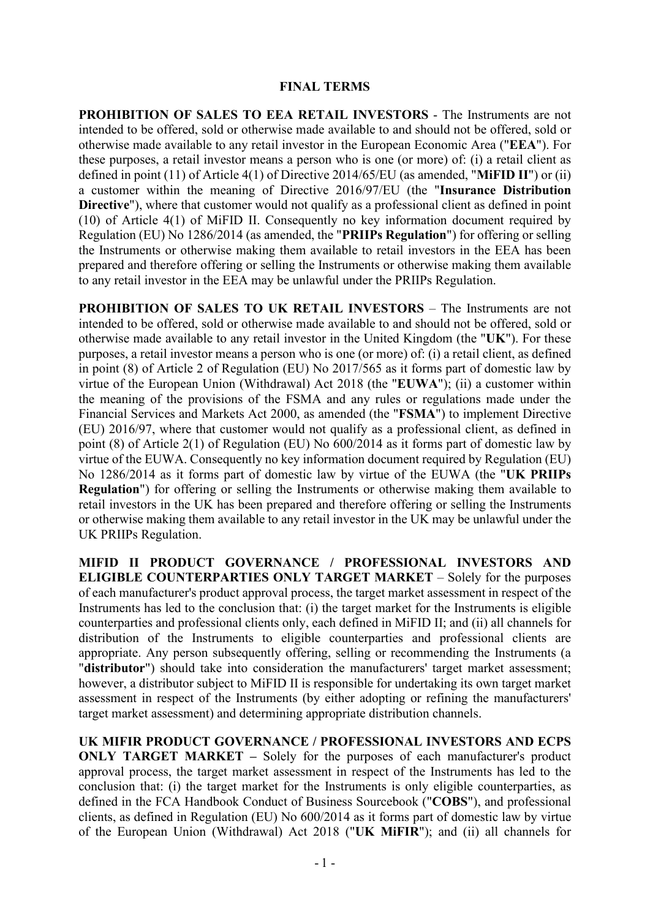## **FINAL TERMS**

**PROHIBITION OF SALES TO EEA RETAIL INVESTORS** - The Instruments are not intended to be offered, sold or otherwise made available to and should not be offered, sold or otherwise made available to any retail investor in the European Economic Area ("**EEA**"). For these purposes, a retail investor means a person who is one (or more) of: (i) a retail client as defined in point (11) of Article 4(1) of Directive 2014/65/EU (as amended, "**MiFID II**") or (ii) a customer within the meaning of Directive 2016/97/EU (the "**Insurance Distribution Directive**"), where that customer would not qualify as a professional client as defined in point (10) of Article 4(1) of MiFID II. Consequently no key information document required by Regulation (EU) No 1286/2014 (as amended, the "**PRIIPs Regulation**") for offering or selling the Instruments or otherwise making them available to retail investors in the EEA has been prepared and therefore offering or selling the Instruments or otherwise making them available to any retail investor in the EEA may be unlawful under the PRIIPs Regulation.

**PROHIBITION OF SALES TO UK RETAIL INVESTORS – The Instruments are not** intended to be offered, sold or otherwise made available to and should not be offered, sold or otherwise made available to any retail investor in the United Kingdom (the "**UK**"). For these purposes, a retail investor means a person who is one (or more) of: (i) a retail client, as defined in point (8) of Article 2 of Regulation (EU) No 2017/565 as it forms part of domestic law by virtue of the European Union (Withdrawal) Act 2018 (the "**EUWA**"); (ii) a customer within the meaning of the provisions of the FSMA and any rules or regulations made under the Financial Services and Markets Act 2000, as amended (the "**FSMA**") to implement Directive (EU) 2016/97, where that customer would not qualify as a professional client, as defined in point (8) of Article 2(1) of Regulation (EU) No 600/2014 as it forms part of domestic law by virtue of the EUWA. Consequently no key information document required by Regulation (EU) No 1286/2014 as it forms part of domestic law by virtue of the EUWA (the "**UK PRIIPs Regulation**") for offering or selling the Instruments or otherwise making them available to retail investors in the UK has been prepared and therefore offering or selling the Instruments or otherwise making them available to any retail investor in the UK may be unlawful under the UK PRIIPs Regulation.

**MIFID II PRODUCT GOVERNANCE / PROFESSIONAL INVESTORS AND ELIGIBLE COUNTERPARTIES ONLY TARGET MARKET** – Solely for the purposes of each manufacturer's product approval process, the target market assessment in respect of the Instruments has led to the conclusion that: (i) the target market for the Instruments is eligible counterparties and professional clients only, each defined in MiFID II; and (ii) all channels for distribution of the Instruments to eligible counterparties and professional clients are appropriate. Any person subsequently offering, selling or recommending the Instruments (a "**distributor**") should take into consideration the manufacturers' target market assessment; however, a distributor subject to MiFID II is responsible for undertaking its own target market assessment in respect of the Instruments (by either adopting or refining the manufacturers' target market assessment) and determining appropriate distribution channels.

**UK MIFIR PRODUCT GOVERNANCE / PROFESSIONAL INVESTORS AND ECPS ONLY TARGET MARKET –** Solely for the purposes of each manufacturer's product approval process, the target market assessment in respect of the Instruments has led to the conclusion that: (i) the target market for the Instruments is only eligible counterparties, as defined in the FCA Handbook Conduct of Business Sourcebook ("**COBS**"), and professional clients, as defined in Regulation (EU) No 600/2014 as it forms part of domestic law by virtue of the European Union (Withdrawal) Act 2018 ("**UK MiFIR**"); and (ii) all channels for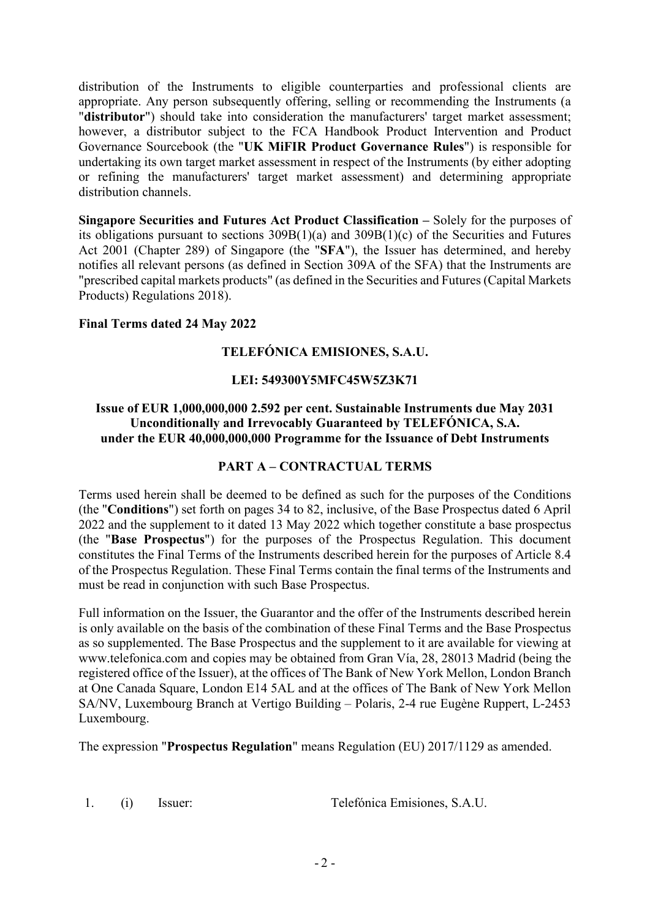distribution of the Instruments to eligible counterparties and professional clients are appropriate. Any person subsequently offering, selling or recommending the Instruments (a "**distributor**") should take into consideration the manufacturers' target market assessment; however, a distributor subject to the FCA Handbook Product Intervention and Product Governance Sourcebook (the "**UK MiFIR Product Governance Rules**") is responsible for undertaking its own target market assessment in respect of the Instruments (by either adopting or refining the manufacturers' target market assessment) and determining appropriate distribution channels.

**Singapore Securities and Futures Act Product Classification –** Solely for the purposes of its obligations pursuant to sections 309B(1)(a) and 309B(1)(c) of the Securities and Futures Act 2001 (Chapter 289) of Singapore (the "**SFA**"), the Issuer has determined, and hereby notifies all relevant persons (as defined in Section 309A of the SFA) that the Instruments are "prescribed capital markets products" (as defined in the Securities and Futures (Capital Markets Products) Regulations 2018).

# **Final Terms dated 24 May 2022**

# **TELEFÓNICA EMISIONES, S.A.U.**

# **LEI: 549300Y5MFC45W5Z3K71**

# **Issue of EUR 1,000,000,000 2.592 per cent. Sustainable Instruments due May 2031 Unconditionally and Irrevocably Guaranteed by TELEFÓNICA, S.A. under the EUR 40,000,000,000 Programme for the Issuance of Debt Instruments**

## **PART A – CONTRACTUAL TERMS**

Terms used herein shall be deemed to be defined as such for the purposes of the Conditions (the "**Conditions**") set forth on pages 34 to 82, inclusive, of the Base Prospectus dated 6 April 2022 and the supplement to it dated 13 May 2022 which together constitute a base prospectus (the "**Base Prospectus**") for the purposes of the Prospectus Regulation. This document constitutes the Final Terms of the Instruments described herein for the purposes of Article 8.4 of the Prospectus Regulation. These Final Terms contain the final terms of the Instruments and must be read in conjunction with such Base Prospectus.

Full information on the Issuer, the Guarantor and the offer of the Instruments described herein is only available on the basis of the combination of these Final Terms and the Base Prospectus as so supplemented. The Base Prospectus and the supplement to it are available for viewing at www.telefonica.com and copies may be obtained from Gran Vía, 28, 28013 Madrid (being the registered office of the Issuer), at the offices of The Bank of New York Mellon, London Branch at One Canada Square, London E14 5AL and at the offices of The Bank of New York Mellon SA/NV, Luxembourg Branch at Vertigo Building – Polaris, 2-4 rue Eugène Ruppert, L-2453 Luxembourg.

The expression "**Prospectus Regulation**" means Regulation (EU) 2017/1129 as amended.

1. (i) Issuer: Telefónica Emisiones, S.A.U.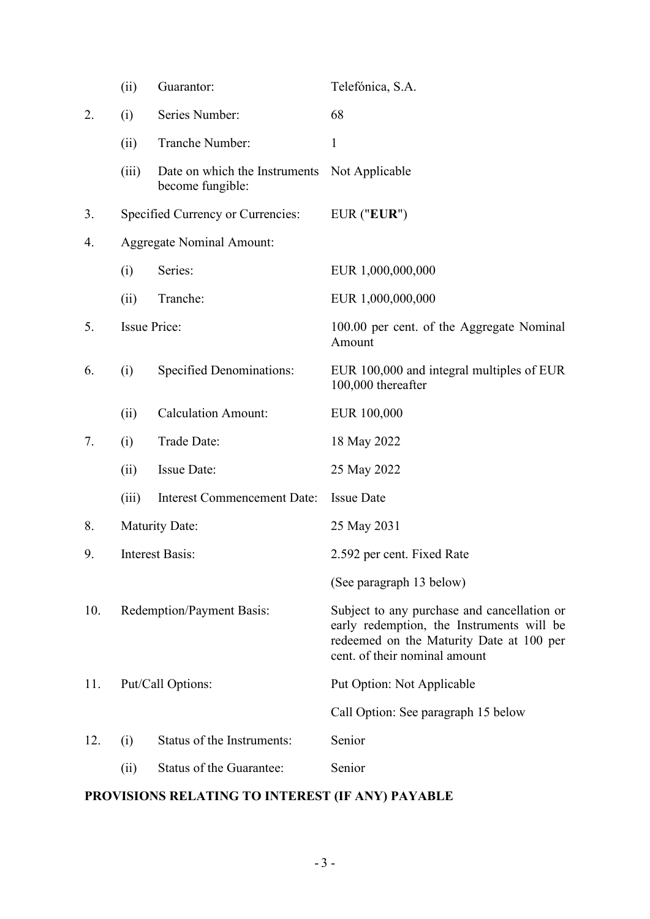|     | (ii)                             | Guarantor:                                        | Telefónica, S.A.                                                                                                                                                      |
|-----|----------------------------------|---------------------------------------------------|-----------------------------------------------------------------------------------------------------------------------------------------------------------------------|
| 2.  | (i)                              | Series Number:                                    | 68                                                                                                                                                                    |
|     | (ii)                             | Tranche Number:                                   | $\mathbf{1}$                                                                                                                                                          |
|     | (iii)                            | Date on which the Instruments<br>become fungible: | Not Applicable                                                                                                                                                        |
| 3.  |                                  | Specified Currency or Currencies:                 | EUR ("EUR")                                                                                                                                                           |
| 4.  | <b>Aggregate Nominal Amount:</b> |                                                   |                                                                                                                                                                       |
|     | (i)                              | Series:                                           | EUR 1,000,000,000                                                                                                                                                     |
|     | (ii)                             | Tranche:                                          | EUR 1,000,000,000                                                                                                                                                     |
| 5.  | <b>Issue Price:</b>              |                                                   | 100.00 per cent. of the Aggregate Nominal<br>Amount                                                                                                                   |
| 6.  | (i)                              | <b>Specified Denominations:</b>                   | EUR 100,000 and integral multiples of EUR<br>100,000 thereafter                                                                                                       |
|     | (ii)                             | <b>Calculation Amount:</b>                        | EUR 100,000                                                                                                                                                           |
| 7.  | (i)                              | Trade Date:                                       | 18 May 2022                                                                                                                                                           |
|     | (ii)                             | <b>Issue Date:</b>                                | 25 May 2022                                                                                                                                                           |
|     | (iii)                            | <b>Interest Commencement Date:</b>                | <b>Issue Date</b>                                                                                                                                                     |
| 8.  |                                  | <b>Maturity Date:</b>                             | 25 May 2031                                                                                                                                                           |
| 9.  | <b>Interest Basis:</b>           |                                                   | 2.592 per cent. Fixed Rate                                                                                                                                            |
|     |                                  |                                                   | (See paragraph 13 below)                                                                                                                                              |
| 10. | Redemption/Payment Basis:        |                                                   | Subject to any purchase and cancellation or<br>early redemption, the Instruments will be<br>redeemed on the Maturity Date at 100 per<br>cent. of their nominal amount |
| 11. | Put/Call Options:                |                                                   | Put Option: Not Applicable                                                                                                                                            |
|     |                                  |                                                   | Call Option: See paragraph 15 below                                                                                                                                   |
| 12. | (i)                              | Status of the Instruments:                        | Senior                                                                                                                                                                |
|     | (ii)                             | Status of the Guarantee:                          | Senior                                                                                                                                                                |

# **PROVISIONS RELATING TO INTEREST (IF ANY) PAYABLE**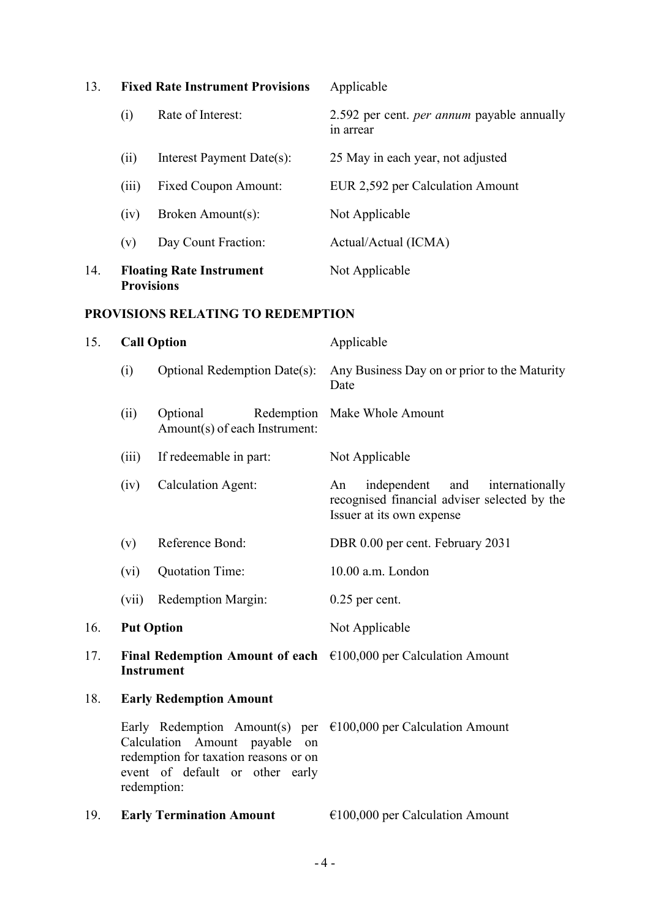| 13. | <b>Fixed Rate Instrument Provisions</b> |                                                      | Applicable                                                     |
|-----|-----------------------------------------|------------------------------------------------------|----------------------------------------------------------------|
|     | (i)                                     | Rate of Interest:                                    | 2.592 per cent. <i>per annum</i> payable annually<br>in arrear |
|     | (i)                                     | Interest Payment Date(s):                            | 25 May in each year, not adjusted                              |
|     | (iii)                                   | <b>Fixed Coupon Amount:</b>                          | EUR 2,592 per Calculation Amount                               |
|     | (iv)                                    | Broken Amount(s):                                    | Not Applicable                                                 |
|     | (v)                                     | Day Count Fraction:                                  | Actual/Actual (ICMA)                                           |
| 14. |                                         | <b>Floating Rate Instrument</b><br><b>Provisions</b> | Not Applicable                                                 |

# **PROVISIONS RELATING TO REDEMPTION**

| 15. |                                                                                                | <b>Call Option</b>                                                                                                       | Applicable                                                                                                               |
|-----|------------------------------------------------------------------------------------------------|--------------------------------------------------------------------------------------------------------------------------|--------------------------------------------------------------------------------------------------------------------------|
|     | (i)                                                                                            | <b>Optional Redemption Date(s):</b>                                                                                      | Any Business Day on or prior to the Maturity<br>Date                                                                     |
|     | (ii)                                                                                           | Optional<br>Redemption<br>Amount(s) of each Instrument:                                                                  | Make Whole Amount                                                                                                        |
|     | (iii)                                                                                          | If redeemable in part:                                                                                                   | Not Applicable                                                                                                           |
|     | (iv)                                                                                           | <b>Calculation Agent:</b>                                                                                                | independent<br>and<br>An<br>internationally<br>recognised financial adviser selected by the<br>Issuer at its own expense |
|     | (v)                                                                                            | Reference Bond:                                                                                                          | DBR 0.00 per cent. February 2031                                                                                         |
|     | (vi)                                                                                           | <b>Quotation Time:</b>                                                                                                   | 10.00 a.m. London                                                                                                        |
|     | (vii)                                                                                          | Redemption Margin:                                                                                                       | $0.25$ per cent.                                                                                                         |
| 16. | <b>Put Option</b>                                                                              |                                                                                                                          | Not Applicable                                                                                                           |
| 17. | Final Redemption Amount of each $\epsilon$ 100,000 per Calculation Amount<br><b>Instrument</b> |                                                                                                                          |                                                                                                                          |
| 18. | <b>Early Redemption Amount</b>                                                                 |                                                                                                                          |                                                                                                                          |
|     |                                                                                                | Calculation Amount payable on<br>redemption for taxation reasons or on<br>event of default or other early<br>redemption: | Early Redemption Amount(s) per $\epsilon$ 100,000 per Calculation Amount                                                 |
| 19. |                                                                                                | <b>Early Termination Amount</b>                                                                                          | $€100,000$ per Calculation Amount                                                                                        |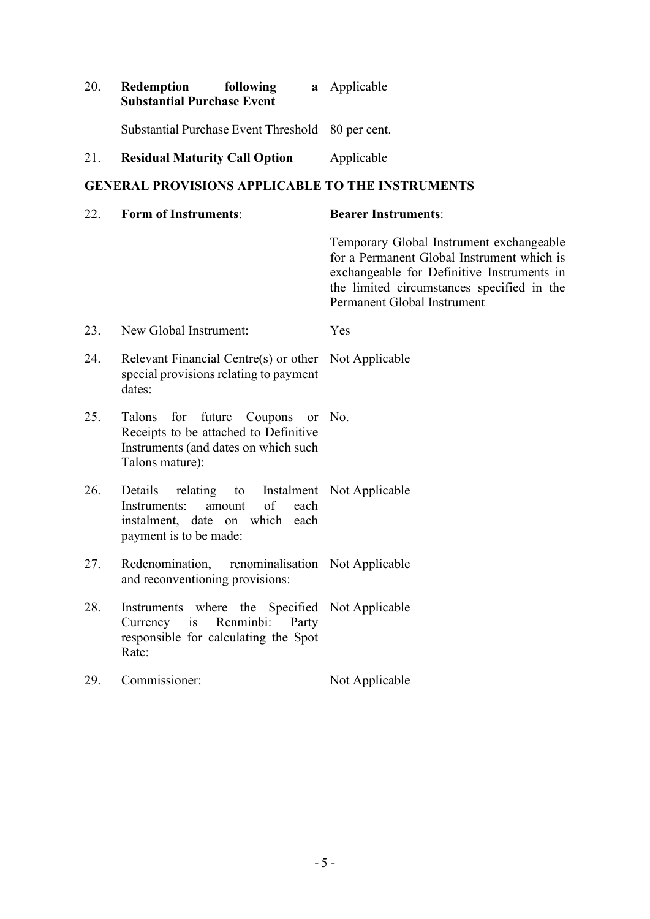| 20. | Redemption<br>following<br><b>Substantial Purchase Event</b>                                                                            | <b>a</b> Applicable                                                                                                                                                                                               |
|-----|-----------------------------------------------------------------------------------------------------------------------------------------|-------------------------------------------------------------------------------------------------------------------------------------------------------------------------------------------------------------------|
|     | Substantial Purchase Event Threshold                                                                                                    | 80 per cent.                                                                                                                                                                                                      |
| 21. | <b>Residual Maturity Call Option</b>                                                                                                    | Applicable                                                                                                                                                                                                        |
|     | <b>GENERAL PROVISIONS APPLICABLE TO THE INSTRUMENTS</b>                                                                                 |                                                                                                                                                                                                                   |
| 22. | <b>Form of Instruments:</b>                                                                                                             | <b>Bearer Instruments:</b>                                                                                                                                                                                        |
|     |                                                                                                                                         | Temporary Global Instrument exchangeable<br>for a Permanent Global Instrument which is<br>exchangeable for Definitive Instruments in<br>the limited circumstances specified in the<br>Permanent Global Instrument |
| 23. | New Global Instrument:                                                                                                                  | Yes                                                                                                                                                                                                               |
| 24. | Relevant Financial Centre(s) or other<br>special provisions relating to payment<br>dates:                                               | Not Applicable                                                                                                                                                                                                    |
| 25. | for future Coupons or No.<br>Talons<br>Receipts to be attached to Definitive<br>Instruments (and dates on which such<br>Talons mature): |                                                                                                                                                                                                                   |
| 26. | Details<br>relating to<br>of<br>each<br>Instruments:<br>amount<br>instalment, date on which each<br>payment is to be made:              | Instalment Not Applicable                                                                                                                                                                                         |
| 27. | Redenomination,<br>renominalisation Not Applicable<br>and reconventioning provisions:                                                   |                                                                                                                                                                                                                   |
| 28. | Instruments where the Specified Not Applicable<br>Currency is Renminbi: Party<br>responsible for calculating the Spot<br>Rate:          |                                                                                                                                                                                                                   |
| 29. | Commissioner:                                                                                                                           | Not Applicable                                                                                                                                                                                                    |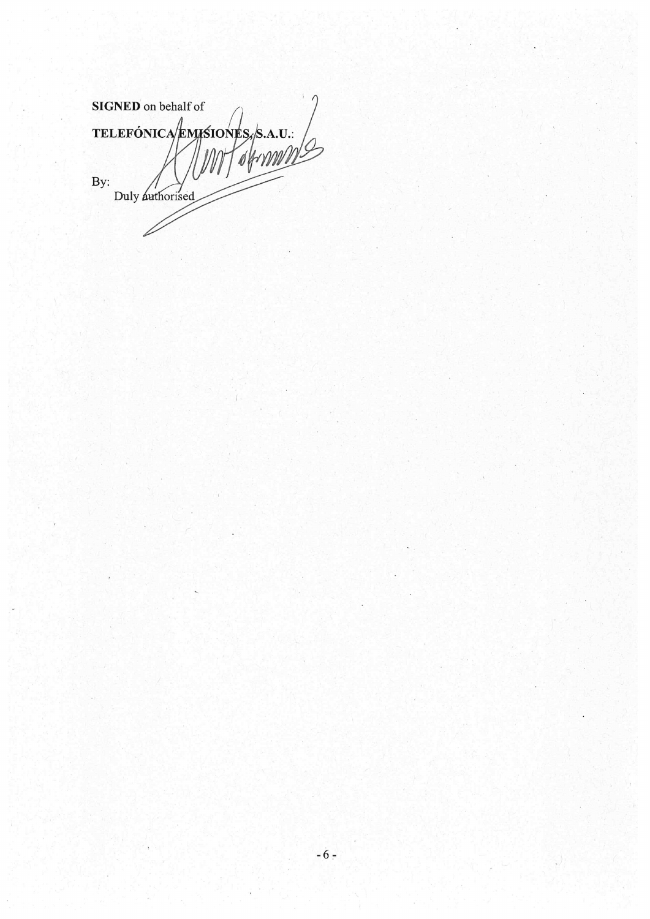**SIGNED** on behalf of TELEFÓNICA/ENISIONES, S.A.U.  $By:$ Duly authorised

 $-6-$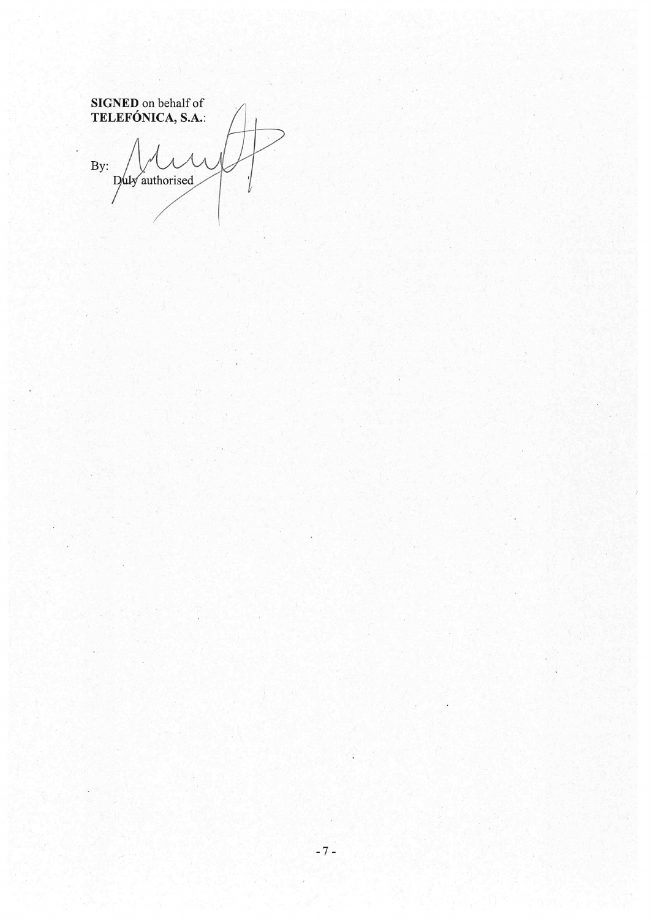SIGNED on behalf of<br>TELEFÓNICA, S.A.:  $\overline{By:}$ Duly authorised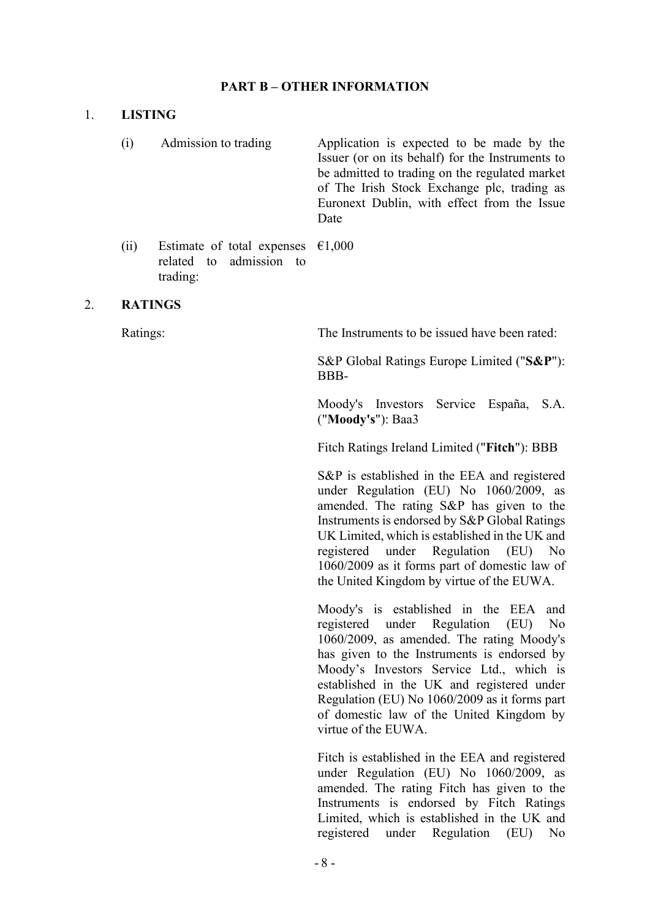## **PART B – OTHER INFORMATION**

#### 1. **LISTING**

- (i) Admission to trading Application is expected to be made by the Issuer (or on its behalf) for the Instruments to be admitted to trading on the regulated market of The Irish Stock Exchange plc, trading as Euronext Dublin, with effect from the Issue Date
- (ii) Estimate of total expenses  $\epsilon$ 1,000 related to admission to trading:

#### 2. **RATINGS**

Ratings: The Instruments to be issued have been rated:

S&P Global Ratings Europe Limited ("**S&P**"): BBB-

Moody's Investors Service España, S.A. ("**Moody's**"): Baa3

Fitch Ratings Ireland Limited ("**Fitch**"): BBB

S&P is established in the EEA and registered under Regulation (EU) No 1060/2009, as amended. The rating S&P has given to the Instruments is endorsed by S&P Global Ratings UK Limited, which is established in the UK and registered under Regulation (EU) No 1060/2009 as it forms part of domestic law of the United Kingdom by virtue of the EUWA.

Moody's is established in the EEA and registered under Regulation (EU) No 1060/2009, as amended. The rating Moody's has given to the Instruments is endorsed by Moody's Investors Service Ltd., which is established in the UK and registered under Regulation (EU) No 1060/2009 as it forms part of domestic law of the United Kingdom by virtue of the EUWA.

Fitch is established in the EEA and registered under Regulation (EU) No 1060/2009, as amended. The rating Fitch has given to the Instruments is endorsed by Fitch Ratings Limited, which is established in the UK and registered under Regulation (EU) No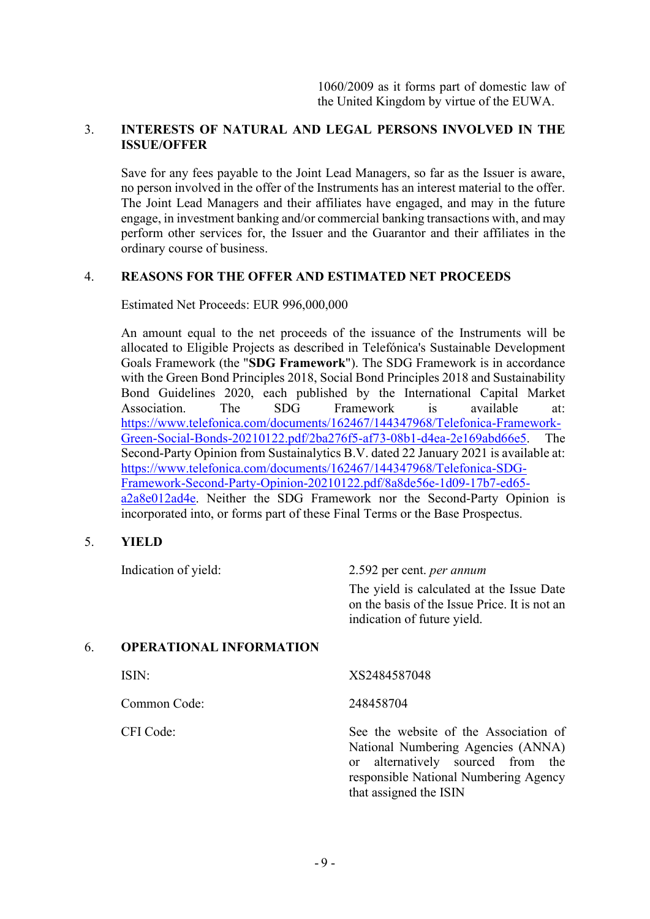# 3. **INTERESTS OF NATURAL AND LEGAL PERSONS INVOLVED IN THE ISSUE/OFFER**

Save for any fees payable to the Joint Lead Managers, so far as the Issuer is aware, no person involved in the offer of the Instruments has an interest material to the offer. The Joint Lead Managers and their affiliates have engaged, and may in the future engage, in investment banking and/or commercial banking transactions with, and may perform other services for, the Issuer and the Guarantor and their affiliates in the ordinary course of business.

# 4. **REASONS FOR THE OFFER AND ESTIMATED NET PROCEEDS**

Estimated Net Proceeds: EUR 996,000,000

An amount equal to the net proceeds of the issuance of the Instruments will be allocated to Eligible Projects as described in Telefónica's Sustainable Development Goals Framework (the "**SDG Framework**"). The SDG Framework is in accordance with the Green Bond Principles 2018, Social Bond Principles 2018 and Sustainability Bond Guidelines 2020, each published by the International Capital Market Association. The SDG Framework is available at: [https://www.telefonica.com/documents/162467/144347968/Telefonica-Framework-](https://www.telefonica.com/documents/162467/144347968/Telefonica-Framework-Green-Social-Bonds-20210122.pdf/2ba276f5-af73-08b1-d4ea-2e169abd66e5)[Green-Social-Bonds-20210122.pdf/2ba276f5-af73-08b1-d4ea-2e169abd66e5.](https://www.telefonica.com/documents/162467/144347968/Telefonica-Framework-Green-Social-Bonds-20210122.pdf/2ba276f5-af73-08b1-d4ea-2e169abd66e5) The Second-Party Opinion from Sustainalytics B.V. dated 22 January 2021 is available at: [https://www.telefonica.com/documents/162467/144347968/Telefonica-SDG-](https://www.telefonica.com/documents/162467/144347968/Telefonica-SDG-Framework-Second-Party-Opinion-20210122.pdf/8a8de56e-1d09-17b7-ed65-a2a8e012ad4e)[Framework-Second-Party-Opinion-20210122.pdf/8a8de56e-1d09-17b7-ed65](https://www.telefonica.com/documents/162467/144347968/Telefonica-SDG-Framework-Second-Party-Opinion-20210122.pdf/8a8de56e-1d09-17b7-ed65-a2a8e012ad4e) [a2a8e012ad4e.](https://www.telefonica.com/documents/162467/144347968/Telefonica-SDG-Framework-Second-Party-Opinion-20210122.pdf/8a8de56e-1d09-17b7-ed65-a2a8e012ad4e) Neither the SDG Framework nor the Second-Party Opinion is incorporated into, or forms part of these Final Terms or the Base Prospectus.

# 5. **YIELD**

|    | Indication of yield:           | 2.592 per cent. <i>per annum</i>                                                                                                                                                                  |  |
|----|--------------------------------|---------------------------------------------------------------------------------------------------------------------------------------------------------------------------------------------------|--|
|    |                                | The yield is calculated at the Issue Date<br>on the basis of the Issue Price. It is not an<br>indication of future yield.                                                                         |  |
| 6. | <b>OPERATIONAL INFORMATION</b> |                                                                                                                                                                                                   |  |
|    | ISIN:                          | XS2484587048                                                                                                                                                                                      |  |
|    | Common Code:                   | 248458704                                                                                                                                                                                         |  |
|    | CFI Code:                      | See the website of the Association of<br>National Numbering Agencies (ANNA)<br>alternatively sourced from the<br><sub>or</sub><br>responsible National Numbering Agency<br>that assigned the ISIN |  |